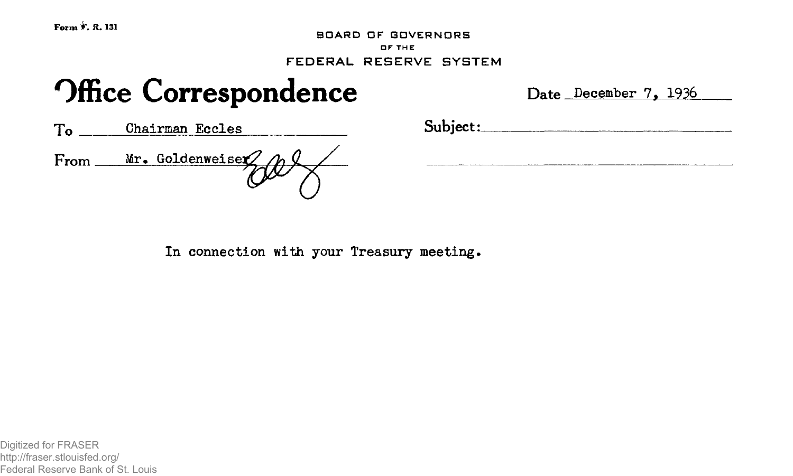**BOARD DF GDVERNDRS OF THE FEDERAL RESERVE SYSTEM**

# **Office Correspondence** Date December 7, 1936

|      | Chairman Eccles        |
|------|------------------------|
| From | $Mr.$ Goldenweiser $Z$ |

To Chairman Eccles Subject:\_\_

In connection with your Treasury meeting.

Digitized for FRASER http://fraser.stlouisfed.org/ Federal Reserve Bank of St. Louis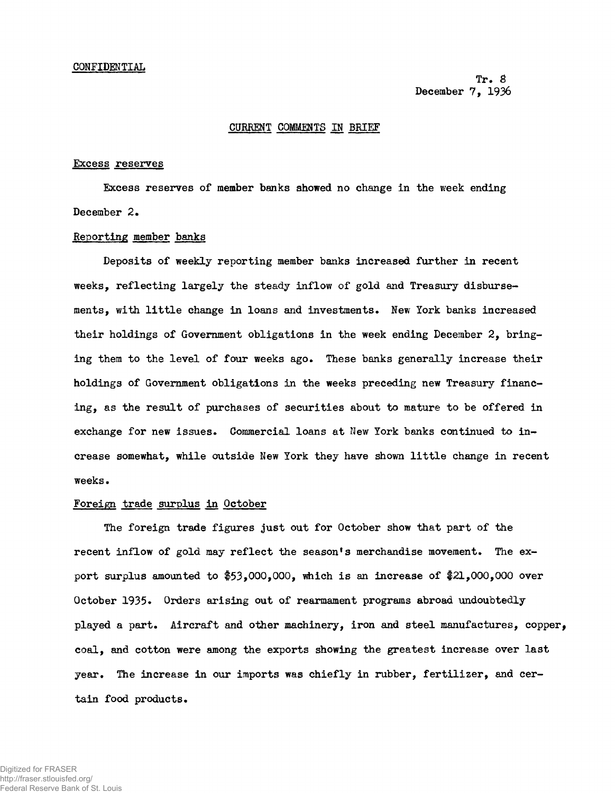Tr. 8 December 7, 1936

## CURRENT COMMENTS IN BRIEF

#### Excess reserves

Excess reserves of member banks showed no change in the week ending December 2.

### Reporting member banks

Deposits of weekly reporting member banks increased further in recent weeks, reflecting largely the steady inflow of gold and Treasury disbursements, with little change in loans and investments. New York banks increased their holdings of Government obligations in the week ending December 2, bringing them to the level of four weeks ago. These banks generally increase their holdings of Government obligations in the weeks preceding new Treasury financing, as the result of purchases of securities about to mature to be offered in exchange for new issues. Commercial loans at New York banks continued to increase somewhat, while outside New York they have shown little change in recent weeks.

#### Foreign trade surplus in October

The foreign trade figures just out for October show that part of the recent inflow of gold may reflect the season's merchandise movement. The export surplus amounted to  $$53,000,000$ , which is an increase of  $$21,000,000$  over October 1935. Orders arising out of rearmament programs abroad undoubtedly played a part. Aircraft and other machinery, iron and steel manufactures, copper, coal, and cotton were among the exports showing the greatest increase over last year. The increase in our imports was chiefly in rubber, fertilizer, and certain food products.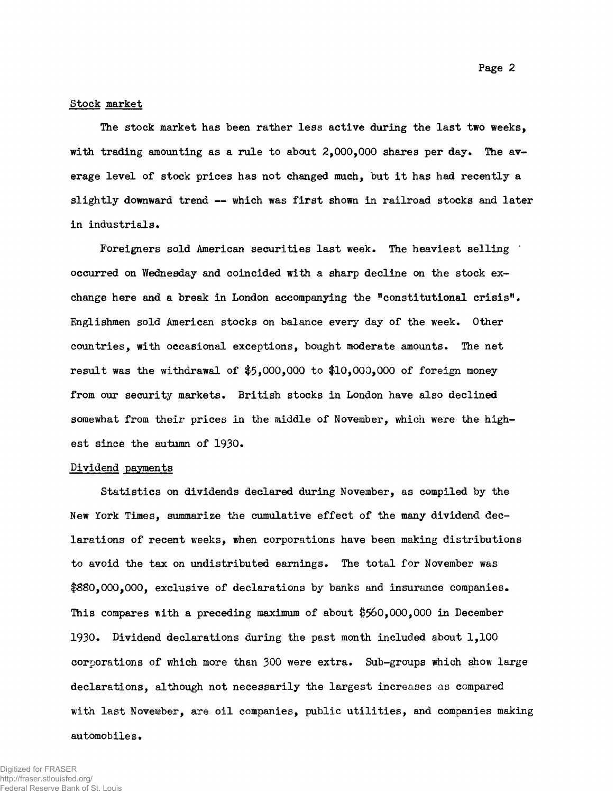## Stock market

The stock market has been rather less active during the last two weeks, with trading amounting as a rule to about 2,000,000 shares per day. The average level of stock prices has not changed much, but it has had recently a slightly downward trend — which was first shown in railroad stocks and later in industrials•

Foreigners sold American securities last week. The heaviest selling occurred on Wednesday and coincided with a sharp decline on the stock exchange here and a break in London accompanying the "constitutional crisis". Englishmen sold American stocks on balance every day of the week. Other countries, with occasional exceptions, bought moderate amounts. The net result was the withdrawal of  $$5,000,000$  to  $$10,000,000$  of foreign money from our security markets. British stocks in London have also declined somewhat from their prices in the middle of November, which were the highest since the autumn of 1930.

#### Dividend payments

Statistics on dividends declared during November, as compiled by the New York Times, summarize the cumulative effect of the many dividend declarations of recent weeks, when corporations have been making distributions to avoid the tax on undistributed earnings. The total for November was \$880,000,000, exclusive of declarations by banks and insurance companies. This compares with a preceding maximum of about \$560,000,000 in December 1930. Dividend declarations during the past month included about 1,100 corporations of which more than 300 were extra. Sub-groups which show large declarations, although not necessarily the largest increases as compared with last November, are oil companies, public utilities, and companies making automobiles.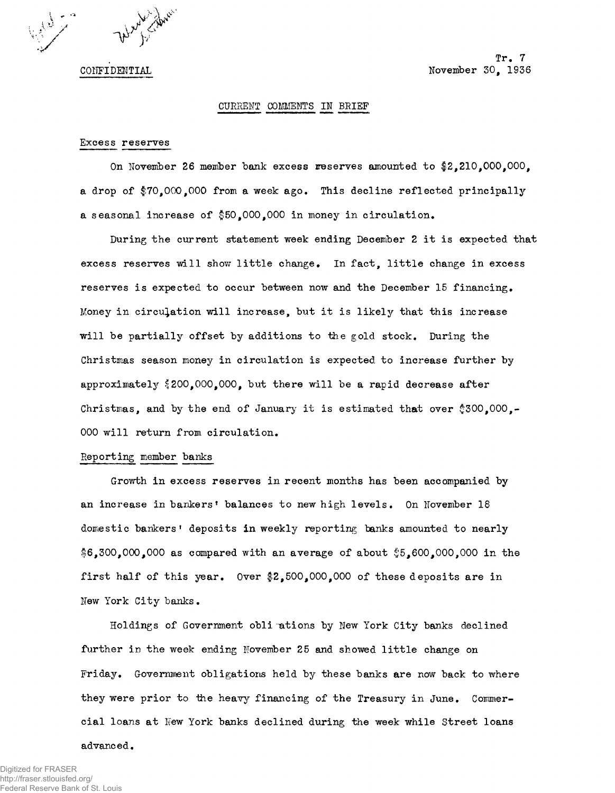

CONFIDENTIAL

Tr. 7 November 30, 1936

## CURRENT OOMMEHTS IN BRIEF

#### Excess reserves

On November 26 member bank excess reserves amounted to \$2,210,000,000, a drop of  $$70,000,000$  from a week ago. This decline reflected principally a seasonal increase of  $$50,000,000$  in money in circulation.

During the current statement week ending December 2 it is expected that excess reserves will show little change. In fact, little change in excess reserves is expected to occur between now and the December 15 financing. Money in circulation will increase, but it is likely that this increase will be partially offset by additions to the gold stock. During the Christinas season money in circulation is expected to increase further by approximately  $$200,000,000$ , but there will be a rapid decrease after Christmas, and by the end of January it is estimated that over  $$300,000,-$ 000 will return from circulation.

## Reporting member banks

Growth in excess reserves in recent months has been accompanied by an increase in bankers' balances to new high levels. On November 18 domestic bankers' deposits in weekly reporting banks amounted to nearly  $$6,300,000,000$  as compared with an average of about  $$5,600,000,000$  in the first half of this year. Over  $2,500,000,000$  of these deposits are in New York City banks.

Holdings of Government obligations by New York City banks declined further in the week ending November 25 and showed little change on Friday. Government obligations held by these banks are now back to where they were prior to ihe heavy financing of the Treasury in June. Commercial loans at New York banks declined during the week while Street loans

advanced.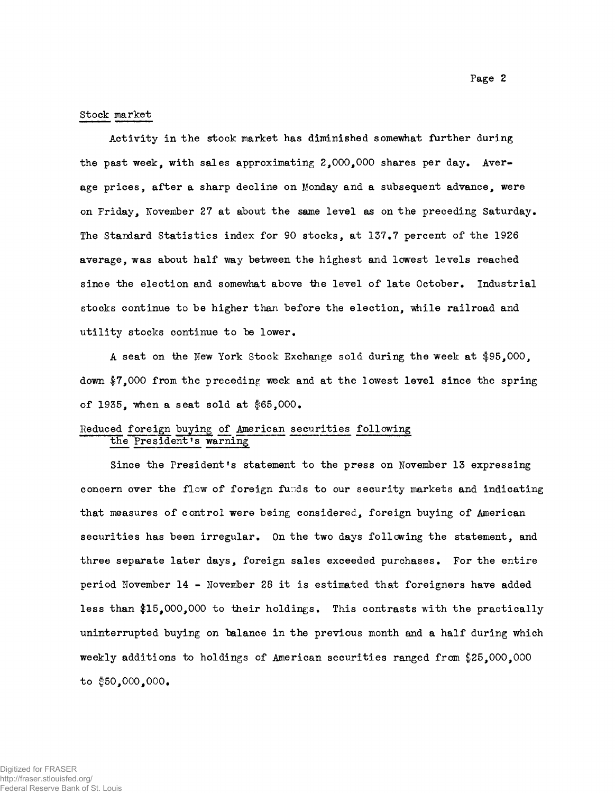#### Stock market

Activity in the stock market has diminished somewhat further during the past week, with sales approximating 2,000,000 shares per day. Average prices, after a sharp decline on Monday and a subsequent advance, were on Friday, November 27 at about the same level as on the preceding Saturday. The Standard Statistics index for 90 stocks, at 137.7 percent of the 1926 average, was about half way between the highest and lowest levels reached since the election and somewhat above the level of late October. Industrial stocks continue to be higher than before the election, while railroad and utility stocks continue to be lower.

A seat on the Hew York Stock Exchange sold during the week at \$95,000, down \$7,000 from the preceding week and at the lowest level since the spring of 1935, when a seat sold at \$65,000.

## Reduced foreign buying o£ American securities following the President's warning

Since the President's statement to the press on November 13 expressing concern over the flow of foreign funds to our security markets and indicating that measures of control were being considered, foreign buying of American securities has been irregular. On the two days following the statement, and three separate later days, foreign sales exceeded purchases. For the entire period November 14 - November 28 it is estimated that foreigners have added less than \$15,000,000 to their holdings. This contrasts with the practically uninterrupted buying on balance in the previous month and a half during which weekly additions to holdings of American securities ranged from \$25,000,000 to  $$50,000,000$ .

Page 2